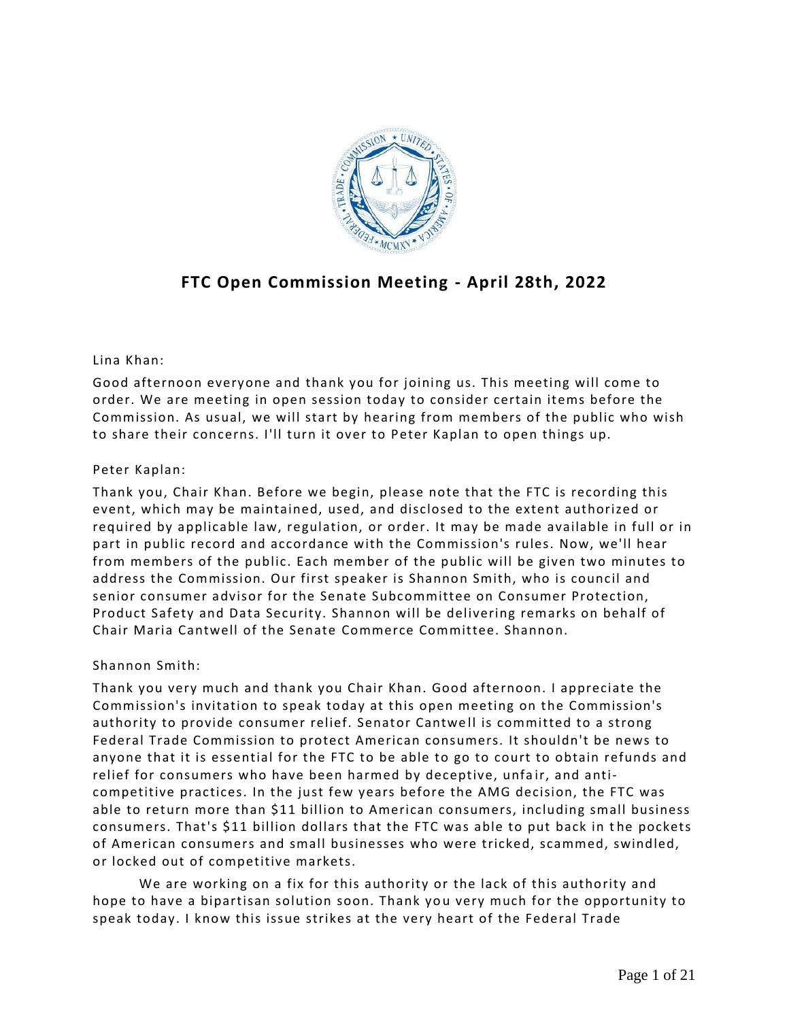

# **FTC Open Commission Meeting - April 28th, 2022**

# Lina Khan:

Good afternoon everyone and thank you for joining us. This meeting will come to order. We are meeting in open session today to consider certain items before the Commission. As usual, we will start by hearing from members of the public who wish to share their concerns. I'll turn it over to Peter Kaplan to open things up.

# Peter Kaplan:

Thank you, Chair Khan. Before we begin, please note that the FTC is recording this event, which may be maintained, used, and disclosed to the extent authorized or required by applicable law, regulation, or order. It may be made available in full or in part in public record and accordance with the Commission's rules. Now, we'll hear from members of the public. Each member of the public will be given two minutes to address the Commission. Our first speaker is Shannon Smith, who is council and senior consumer advisor for the Senate Subcommittee on Consumer Protection, Product Safety and Data Security. Shannon will be delivering remarks on behalf of Chair Maria Cantwell of the Senate Commerce Committee. Shannon.

# Shannon Smith:

Thank you very much and thank you Chair Khan. Good afternoon. I appreciate the Commission's invitation to speak today at this open meeting on the Commission's authority to provide consumer relief. Senator Cantwell is committed to a strong Federal Trade Commission to protect American consumers. It shouldn't be news to anyone that it is essential for the FTC to be able to go to court to obtain refunds and relief for consumers who have been harmed by deceptive, unfair, and anticompetitive practices. In the just few years before the AMG decision, the FTC was able to return more than \$11 billion to American consumers, including small business consumers. That's \$11 billion dollars that the FTC was able to put back in the pockets of American consumers and small businesses who were tricked, scammed, swindled, or locked out of competitive markets.

We are working on a fix for this authority or the lack of this authority and hope to have a bipartisan solution soon. Thank you very much for the opportunity to speak today. I know this issue strikes at the very heart of the Federal Trade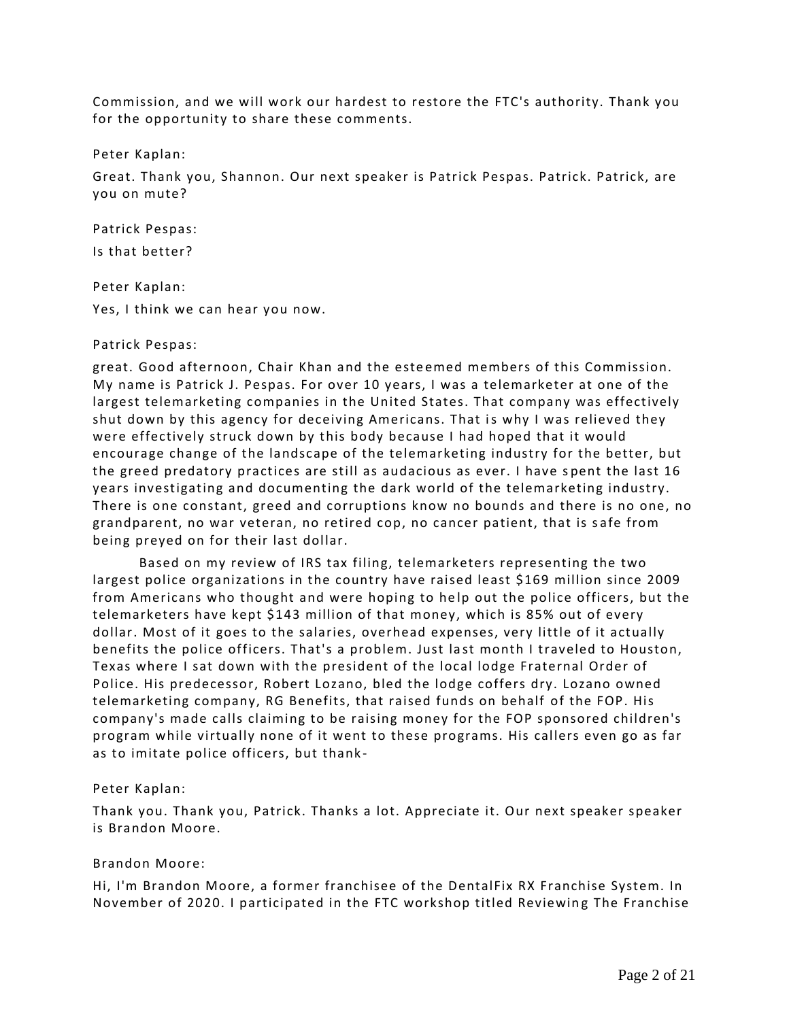Commission, and we will work our hardest to restore the FTC's authority. Thank you for the opportunity to share these comments.

Peter Kaplan:

Great. Thank you, Shannon. Our next speaker is Patrick Pespas. Patrick. Patrick, are you on mute?

Patrick Pespas: Is that better?

Peter Kaplan:

Yes, I think we can hear you now.

### Patrick Pespas:

great. Good afternoon, Chair Khan and the este emed members of this Commission. My name is Patrick J. Pespas. For over 10 years, I was a telemarketer at one of the largest telemarketing companies in the United States. That company was effectively shut down by this agency for deceiving Americans. That is why I was relieved they were effectively struck down by this body because I had hoped that it would encourage change of the landscape of the telemarketing industry for the better, but the greed predatory practices are still as audacious as ever. I have spent the last 16 years investigating and documenting the dark world of the telemarketing industry. There is one constant, greed and corruptions know no bounds and there is no one, no grandparent, no war veteran, no retired cop, no cancer patient, that is s afe from being preyed on for their last dollar.

Based on my review of IRS tax filing, telemarketers representing the two largest police organizations in the country have raised least \$169 million since 2009 from Americans who thought and were hoping to help out the police officers, but the telemarketers have kept \$143 million of that money, which is 85% out of every dollar. Most of it goes to the salaries, overhead expenses, very little of it actually benefits the police officers. That's a problem. Just la st month I traveled to Houston, Texas where I sat down with the president of the local lodge Fraternal Order of Police. His predecessor, Robert Lozano, bled the lodge coffers dry. Lozano owned telemarketing company, RG Benefits, that raised funds on behalf of the FOP. His company's made calls claiming to be raising money for the FOP sponsored children's program while virtually none of it went to these programs. His callers even go as far as to imitate police officers, but thank -

### Peter Kaplan:

Thank you. Thank you, Patrick. Thanks a lot. Appreciate it. Our next speaker speaker is Brandon Moore.

# Brandon Moore:

Hi, I'm Brandon Moore, a former franchisee of the DentalFix RX Franchise System. In November of 2020. I participated in the FTC workshop titled Reviewing The Franchise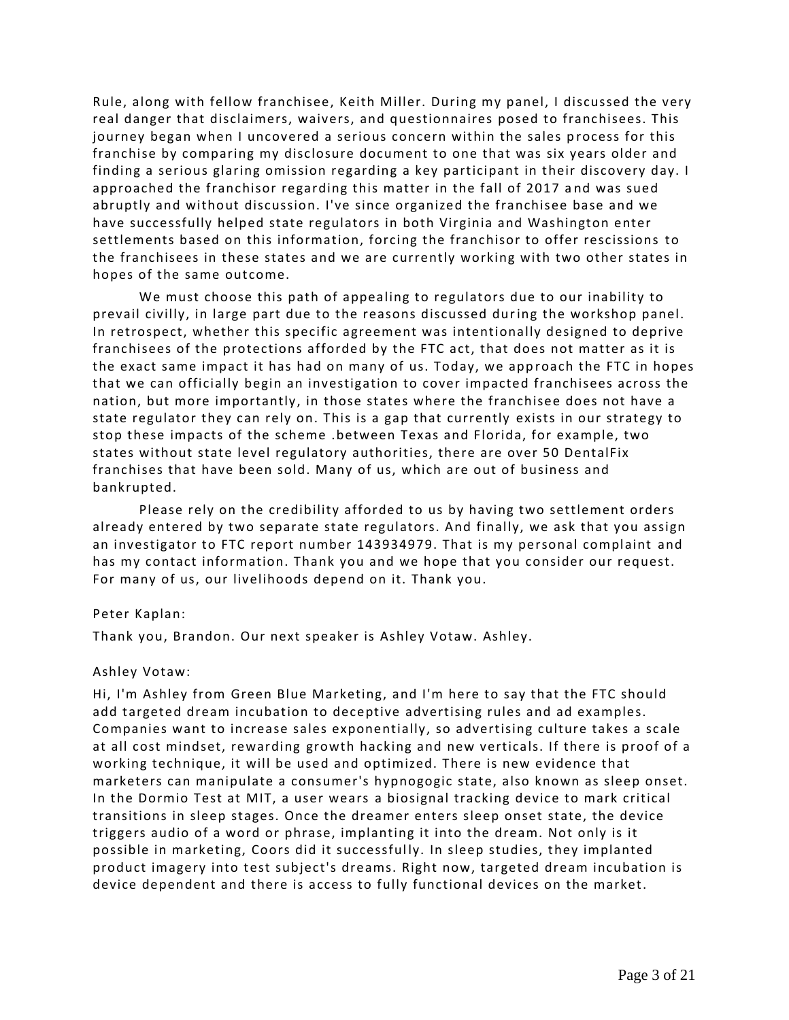Rule, along with fellow franchisee, Keith Miller. During my panel, I discussed the very real danger that disclaimers, waivers, and questionnaires posed to franchisees. This journey began when I uncovered a serious concern within the sales process for this franchise by comparing my disclosure document to one that was six years older and finding a serious glaring omission regarding a key participant in their discovery day. I approached the franchisor regarding this matter in the fall of 2017 a nd was sued abruptly and without discussion. I've since organized the franchisee base and we have successfully helped state regulators in both Virginia and Washington enter settlements based on this information, forcing the franchisor to offer rescissions to the franchisees in these states and we are currently working with two other states in hopes of the same outcome.

We must choose this path of appealing to regulators due to our inability to prevail civilly, in large part due to the reasons discussed during the workshop panel. In retrospect, whether this specific agreement was intentionally designed to deprive franchisees of the protections afforded by the FTC act, that does not matter as it is the exact same impact it has had on many of us. Today, we approach the FTC in hopes that we can officially begin an investigation to cover impacted franchisees across the nation, but more importantly, in those states where the franchisee does not have a state regulator they can rely on. This is a gap that currently exists in our strategy to stop these impacts of the scheme .between Texas and Florida, for example, two states without state level regulatory authorities, there are over 50 DentalFix franchises that have been sold. Many of us, which are out of business and bankrupted.

Please rely on the credibility afforded to us by having two settlement orders already entered by two separate state regulators. And finally, we ask that you assign an investigator to FTC report number 143934979. That is my personal complaint and has my contact information. Thank you and we hope that you consider our request. For many of us, our livelihoods depend on it. Thank you.

### Peter Kaplan:

Thank you, Brandon. Our next speaker is Ashley Votaw. Ashley.

# Ashley Votaw:

Hi, I'm Ashley from Green Blue Marketing, and I'm here to say that the FTC should add targeted dream incubation to deceptive advertising rules and ad examples. Companies want to increase sales exponentially, so advertising culture takes a scale at all cost mindset, rewarding growth hacking and new verticals. If there is proof of a working technique, it will be used and optimized. There is new evidence that marketers can manipulate a consumer's hypnogogic state, also known as sleep onset. In the Dormio Test at MIT, a user wears a biosignal tracking device to mark critical transitions in sleep stages. Once the dreamer enters sleep onset state, the device triggers audio of a word or phrase, implanting it into the dream. Not only is it possible in marketing, Coors did it successfully. In sleep studies, they implanted product imagery into test subject's dreams. Right now, targeted dream incubation is device dependent and there is access to fully functional devices on the market.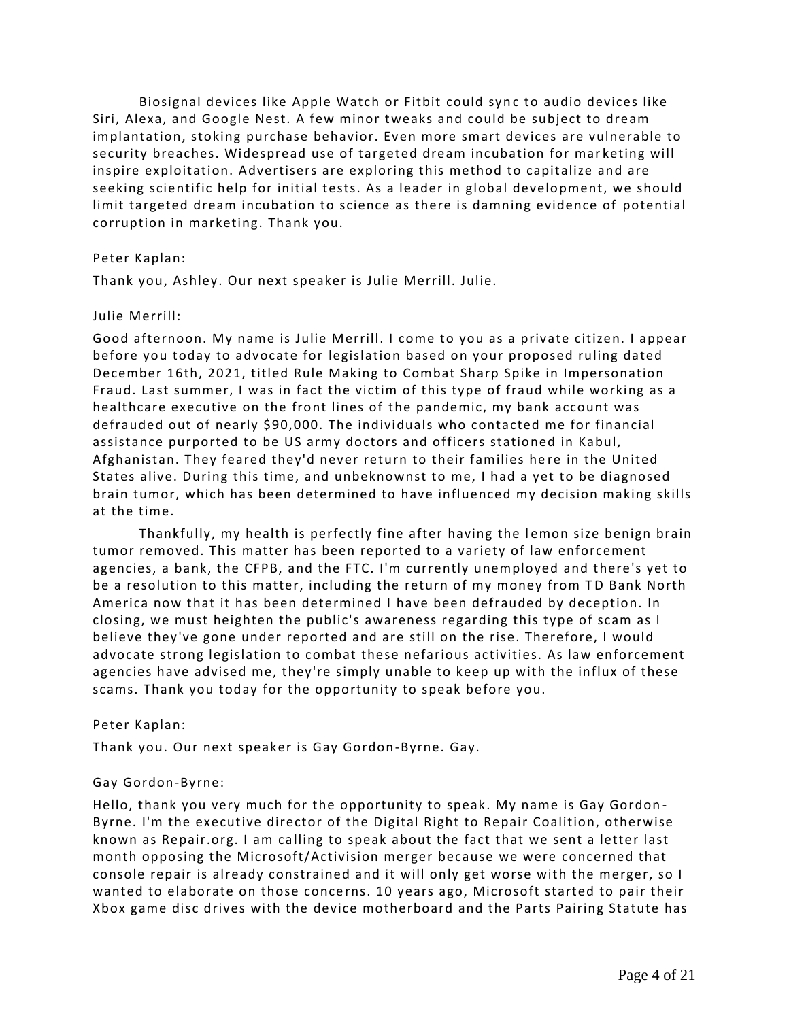Biosignal devices like Apple Watch or Fitbit could sync to audio devices like Siri, Alexa, and Google Nest. A few minor tweaks and could be subject to dream implantation, stoking purchase behavior. Even more smart devices are vulnerable to security breaches. Widespread use of targeted dream incubation for mar keting will inspire exploitation. Advertisers are exploring this method to capitalize and are seeking scientific help for initial tests. As a leader in global development, we should limit targeted dream incubation to science as there is damning evidence of potential corruption in marketing. Thank you.

## Peter Kaplan:

Thank you, Ashley. Our next speaker is Julie Merrill. Julie.

## Julie Merrill:

Good afternoon. My name is Julie Merrill. I come to you as a private citizen. I appear before you today to advocate for legislation based on your proposed ruling dated December 16th, 2021, titled Rule Making to Combat Sharp Spike in Impersonation Fraud. Last summer, I was in fact the victim of this type of fraud while working as a healthcare executive on the front lines of the pandemic, my bank account was defrauded out of nearly \$90,000. The individuals who contacted me for financial assistance purported to be US army doctors and officers stationed in Kabul, Afghanistan. They feared they'd never return to their families here in the United States alive. During this time, and unbeknownst to me, I had a yet to be diagnosed brain tumor, which has been determined to have influenced my decision making skills at the time.

Thankfully, my health is perfectly fine after having the lemon size benign brain tumor removed. This matter has been reported to a variety of law enforcement agencies, a bank, the CFPB, and the FTC. I'm currently unemployed and there's yet to be a resolution to this matter, including the return of my money from TD Bank North America now that it has been determined I have been defrauded by deception. In closing, we must heighten the public's awareness regarding this type of scam as I believe they've gone under reported and are still on the rise. Therefore, I would advocate strong legislation to combat these nefarious activities. As law enforcement agencies have advised me, they're simply unable to keep up with the influx of these scams. Thank you today for the opportunity to speak before you.

### Peter Kaplan:

Thank you. Our next speaker is Gay Gordon-Byrne. Gay.

# Gay Gordon-Byrne:

Hello, thank you very much for the opportunity to speak. My name is Gay Gordon - Byrne. I'm the executive director of the Digital Right to Repair Coalition, otherwise known as Repair.org. I am calling to speak about the fact that we sent a letter last month opposing the Microsoft/Activision merger because we were concerned that console repair is already constrained and it will only get worse with the merger, so I wanted to elaborate on those concerns. 10 years ago, Microsoft started to pair their Xbox game disc drives with the device motherboard and the Parts Pairing Statute has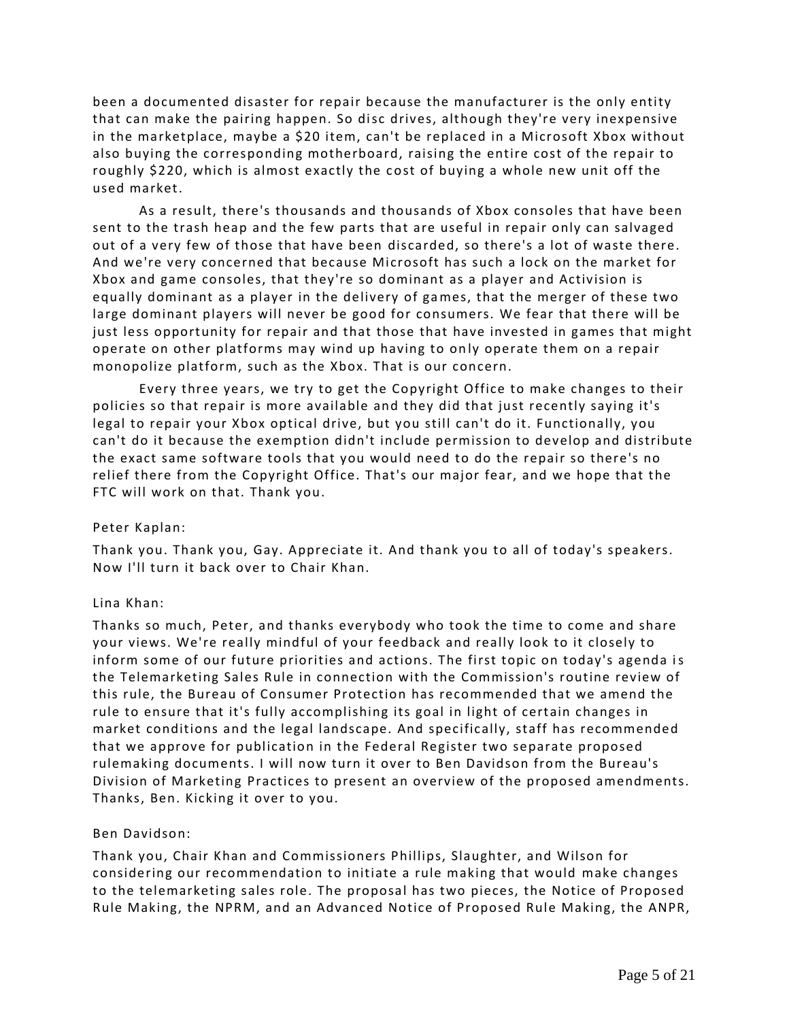been a documented disaster for repair because the manufacturer is the only entity that can make the pairing happen. So disc drives, although they're very inexpensive in the marketplace, maybe a \$20 item, can't be replaced in a Microsoft Xbox without also buying the corresponding motherboard, raising the entire cost of the repair to roughly \$220, which is almost exactly the cost of buying a whole new unit off the used market.

As a result, there's thousands and thousands of Xbox consoles that have been sent to the trash heap and the few parts that are useful in repair only can salvaged out of a very few of those that have been discarded, so there's a lot of waste there. And we're very concerned that because Microsoft has such a lock on the market for Xbox and game consoles, that they're so dominant as a player and Activision is equally dominant as a player in the delivery of games, that the merger of these two large dominant players will never be good for consumers. We fear that there will be just less opportunity for repair and that those that have invested in games that might operate on other platforms may wind up having to on ly operate them on a repair monopolize platform, such as the Xbox. That is our concern.

Every three years, we try to get the Copyright Office to make changes to their policies so that repair is more available and they did that just recently saying it's legal to repair your Xbox optical drive, but you still can't do it. Functionally, you can't do it because the exemption didn't include permission to develop and distribute the exact same software tools that you would need to do the repair so there's no relief there from the Copyright Office. That's our major fear, and we hope that the FTC will work on that. Thank you.

# Peter Kaplan:

Thank you. Thank you, Gay. Appreciate it. And thank you to all of today's speakers. Now I'll turn it back over to Chair Khan.

### Lina Khan:

Thanks so much, Peter, and thanks everybody who took the time to come and share your views. We're really mindful of your feedback and really look to it closely to inform some of our future priorities and actions. The first topic on today's agenda is the Telemarketing Sales Rule in connection with the Commission's routine review of this rule, the Bureau of Consumer Protection has recommended that we amend the rule to ensure that it's fully accomplishing its goal in light of certain changes in market conditions and the legal landscape. And specifically, staff has recommended that we approve for publication in the Federal Register two separate proposed rulemaking documents. I will now turn it over to Ben Davidson from the Bureau's Division of Marketing Practices to present an overview of the proposed amendments. Thanks, Ben. Kicking it over to you.

### Ben Davidson:

Thank you, Chair Khan and Commissioners Phillips, Slaughter, and Wilson for considering our recommendation to initiate a rule making that would make changes to the telemarketing sales role. The proposal has two pieces, the Notice of Proposed Rule Making, the NPRM, and an Advanced Notice of Proposed Rule Making, the ANPR,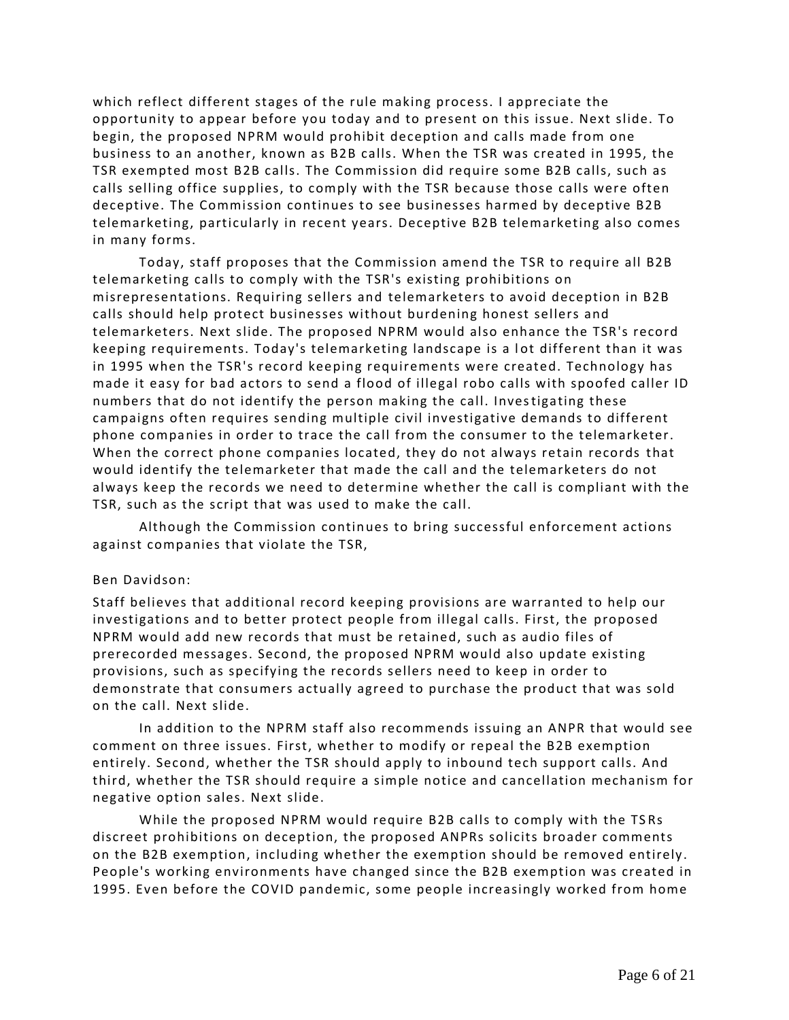which reflect different stages of the rule making process. I appreciate the opportunity to appear before you today and to present on this issue. Next slide. To begin, the proposed NPRM would prohibit deception and calls made from one business to an another, known as B2B calls. When the TSR was created in 1995, the TSR exempted most B2B calls. The Commission did require some B2B calls, such as calls selling office supplies, to comply with the TSR because those calls were often deceptive. The Commission continues to see businesses harmed by deceptive B2B telemarketing, particularly in recent years. Deceptive B2B telemarketing also comes in many forms.

Today, staff proposes that the Commission amend the TSR to require all B2B telemarketing calls to comply with the TSR's existing prohibitions on misrepresentations. Requiring sellers and telemarketers to avoid deception in B2B calls should help protect businesses without burdening honest sellers and telemarketers. Next slide. The proposed NPRM would also enhance the TSR's record keeping requirements. Today's telemarketing landscape is a lot different than it was in 1995 when the TSR's record keeping requirements were created. Technology has made it easy for bad actors to send a flood of illegal robo calls with spoofed caller ID numbers that do not identify the person making the call. Investigating these campaigns often requires sending multiple civil investigative demands to different phone companies in order to trace the call from the consumer to the telemarketer. When the correct phone companies located, they do not always retain records that would identify the telemarketer that made the call and the telemarketers do not always keep the records we need to determine whether the call is compliant with the TSR, such as the script that was used to make the call.

Although the Commission continues to bring successful enforcement actions against companies that violate the TSR,

### Ben Davidson:

Staff believes that additional record keeping provisions are warranted to help our investigations and to better protect people from illegal calls. First, the proposed NPRM would add new records that must be retained, such as audio files of prerecorded messages. Second, the proposed NPRM would also update existing provisions, such as specifying the records sellers need to keep in order to demonstrate that consumers actually agreed to purchase the product that was sold on the call. Next slide.

In addition to the NPRM staff also recommends issuing an ANPR that would see comment on three issues. First, whether to modify or repeal the B2B exemption entirely. Second, whether the TSR should apply to inbound tech support calls. And third, whether the TSR should require a simple notice and cancellation mechanism for negative option sales. Next slide.

While the proposed NPRM would require B2B calls to comply with the TS Rs discreet prohibitions on deception, the proposed ANPRs solicits broader comments on the B2B exemption, including whether the exemption should be removed entirely. People's working environments have changed since the B2B exemption was created in 1995. Even before the COVID pandemic, some people increasingly worked from home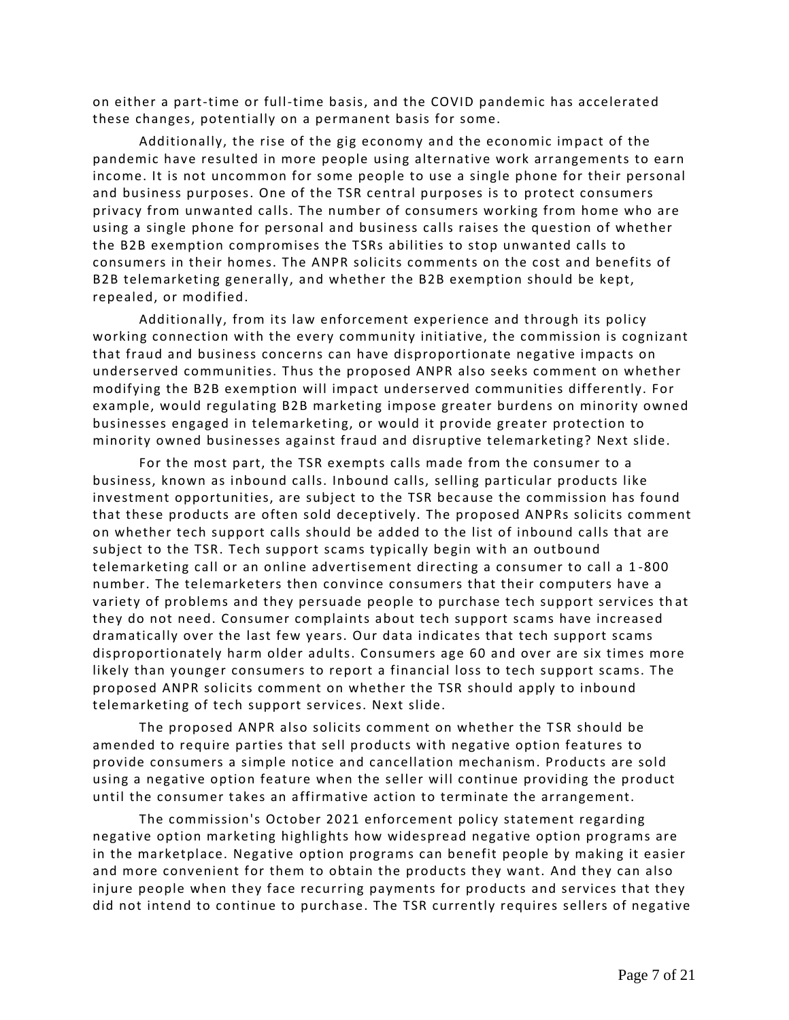on either a part-time or full-time basis, and the COVID pandemic has accelerated these changes, potentially on a permanent basis for some.

Additionally, the rise of the gig economy an d the economic impact of the pandemic have resulted in more people using alternative work arrangements to earn income. It is not uncommon for some people to use a single phone for their personal and business purposes. One of the TSR central purposes is to protect consumers privacy from unwanted calls. The number of consumers working from home who are using a single phone for personal and business calls raises the question of whether the B2B exemption compromises the TSRs abilities to stop unwanted calls to consumers in their homes. The ANPR solicits comments on the cost and benefits of B2B telemarketing generally, and whether the B2B exemption should be kept, repealed, or modified.

Additionally, from its law enforcement experience and through its policy working connection with the every community initiative, the commission is cognizant that fraud and business concerns can have disproportionate negative impacts on underserved communities. Thus the proposed ANPR also seeks comment on whether modifying the B2B exemption will impact underserved communities differently. For example, would regulating B2B marketing impose greater burdens on minority owned businesses engaged in telemarketing, or would it provide greater protection to minority owned businesses against fraud and disruptive telemarketing? Next slide.

For the most part, the TSR exempts calls made from the consumer to a business, known as inbound calls. Inbound calls, selling particular products like investment opportunities, are subject to the TSR because the commission has found that these products are often sold deceptively. The proposed ANPRs solicits comment on whether tech support calls should be added to the list of inbound calls that are subject to the TSR. Tech support scams typically begin with an outbound telemarketing call or an online advertisement directing a consumer to call a 1 -800 number. The telemarketers then convince consumers that their computers have a variety of problems and they persuade people to purchase tech support services th at they do not need. Consumer complaints about tech support scams have increased dramatically over the last few years. Our data indicates that tech support scams disproportionately harm older adults. Consumers age 60 and over are six times more likely than younger consumers to report a financial loss to tech support scams. The proposed ANPR solicits comment on whether the TSR should apply to inbound telemarketing of tech support services. Next slide.

The proposed ANPR also solicits comment on whether the T SR should be amended to require parties that sell products with negative option features to provide consumers a simple notice and cancellation mechanism. Products are sold using a negative option feature when the seller will continue providing the product until the consumer takes an affirmative action to terminate the arrangement.

The commission's October 2021 enforcement policy statement regarding negative option marketing highlights how widespread negative option programs are in the marketplace. Negative option programs can benefit people by making it easier and more convenient for them to obtain the products they want. And they can also injure people when they face recurring payments for products and services that they did not intend to continue to purchase. The TSR currently requires sellers of negative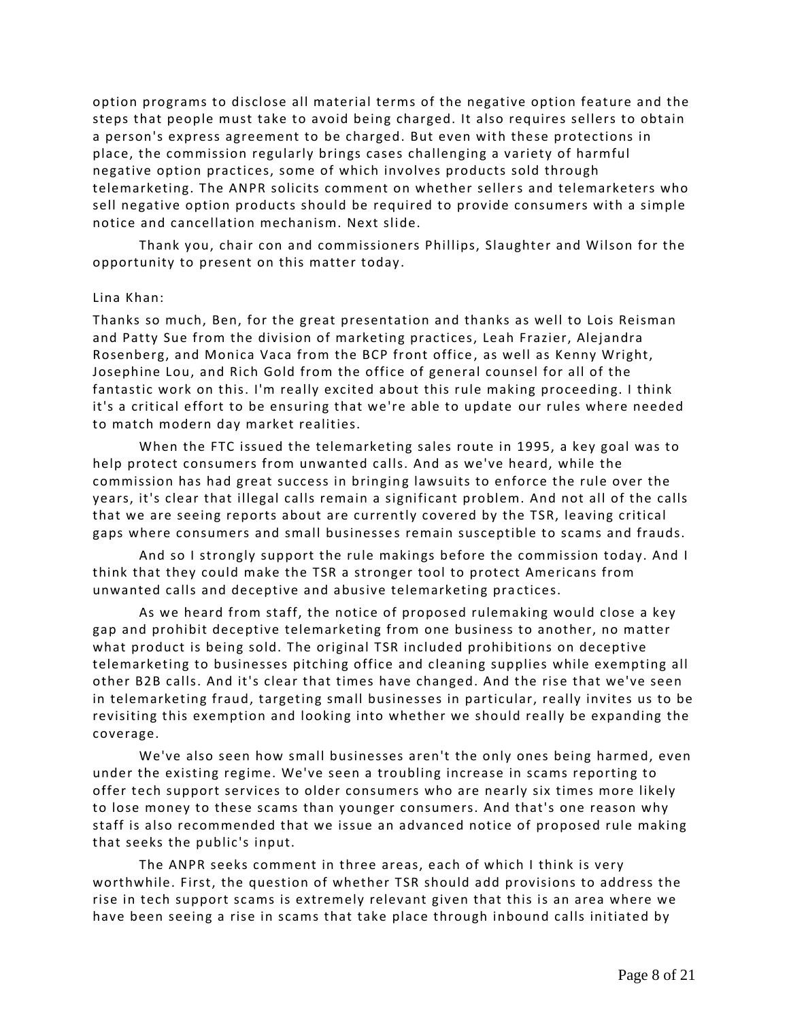option programs to disclose all material terms of the negative option feature and the steps that people must take to avoid being charged. It also requires sellers to obtain a person's express agreement to be charged. But even with these protections in place, the commission regularly brings cases challenging a variety of harmful negative option practices, some of which involves products sold through telemarketing. The ANPR solicits comment on whether sellers and telemarketers who sell negative option products should be required to provide consumers with a simple notice and cancellation mechanism. Next slide.

Thank you, chair con and commissioners Phillips, Slaughter and Wilson for the opportunity to present on this matter today.

### Lina Khan:

Thanks so much, Ben, for the great presentation and thanks as well to Lois Reisman and Patty Sue from the division of marketing practices, Leah Frazier, Alejandra Rosenberg, and Monica Vaca from the BCP front office , as well as Kenny Wright, Josephine Lou, and Rich Gold from the office of general counsel for all of the fantastic work on this. I'm really excited about this rule making proceeding. I think it's a critical effort to be ensuring that we're able to update our rules where needed to match modern day market realities.

When the FTC issued the telemarketing sales route in 1995, a key goal was to help protect consumers from unwanted calls. And as we've heard, while the commission has had great success in bringing lawsuits to enforce the rule over the years, it's clear that illegal calls remain a significant problem. And not all of the calls that we are seeing reports about are currently covered by the TSR, leaving critical gaps where consumers and small businesses remain susceptible to scams and frauds.

And so I strongly support the rule makings before the commission today. And I think that they could make the TSR a stronger tool to protect Americans from unwanted calls and deceptive and abusive telemarketing pra ctices.

As we heard from staff, the notice of proposed rulemaking would close a key gap and prohibit deceptive telemarketing from one business to another, no matter what product is being sold. The original TSR included prohibitions on deceptive telemarketing to businesses pitching office and cleaning supplies while exempting all other B2B calls. And it's clear that times have changed. And the rise that we've seen in telemarketing fraud, targeting small businesses in particular, really invites us to be revisiting this exemption and looking into whether we should really be expanding the coverage.

We've also seen how small businesses aren't the only ones being harmed, even under the existing regime. We've seen a troubling increase in scams reporting to offer tech support services to older consumers who are nearly six times more likely to lose money to these scams than younger consumers. And that's one reason why staff is also recommended that we issue an advanced notice of proposed rule making that seeks the public's input.

The ANPR seeks comment in three areas, each of which I think is very worthwhile. First, the question of whether TSR should add provisions to address the rise in tech support scams is extremely relevant given that this is an area where we have been seeing a rise in scams that take place through inbound calls initiated by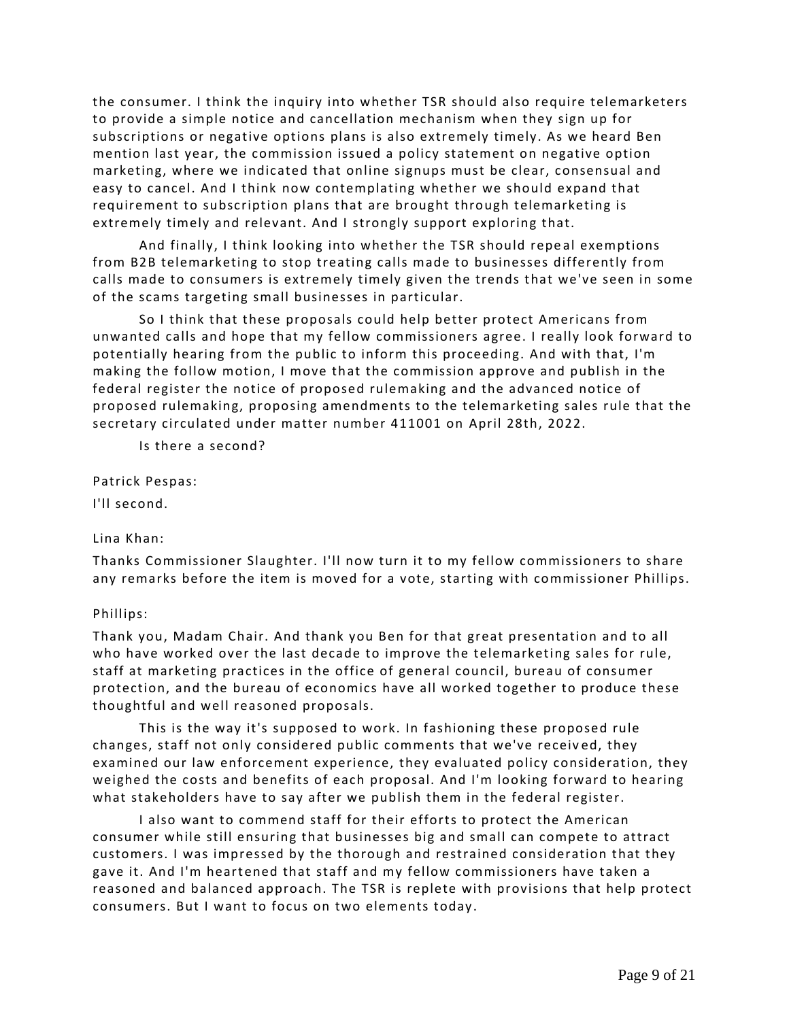the consumer. I think the inquiry into whether TSR should also require telemarketers to provide a simple notice and cancellation mechanism when they sign up for subscriptions or negative options plans is also extremely timely. As we heard Ben mention last year, the commission issued a policy statement on negative option marketing, where we indicated that online signups must be clear, consensual and easy to cancel. And I think now contemplating whether we should expand that requirement to subscription plans that are brought through telemarketing is extremely timely and relevant. And I strongly support exploring that.

And finally, I think looking into whether the TSR should repe al exemptions from B2B telemarketing to stop treating calls made to businesses differently from calls made to consumers is extremely timely given the trends that we've seen in some of the scams targeting small businesses in particular.

So I think that these proposals could help better protect Americans from unwanted calls and hope that my fellow commissioners agree. I really look forward to potentially hearing from the public to inform this proceeding. And with that, I'm making the follow motion, I move that the commission approve and publish in the federal register the notice of proposed rulemaking and the advanced notice of proposed rulemaking, proposing amendments to the telemarketing sales rule that the secretary circulated under matter number 411001 on April 28th, 2022.

Is there a second?

Patrick Pespas:

I'll second.

Lina Khan:

Thanks Commissioner Slaughter. I'll now turn it to my fellow commissioners to share any remarks before the item is moved for a vote, starting with commissioner Phillips.

# Phillips:

Thank you, Madam Chair. And thank you Ben for that great presentation and to all who have worked over the last decade to improve the telemarketing sales for rule, staff at marketing practices in the office of general council, bureau of consumer protection, and the bureau of economics have all worked together to produce these thoughtful and well reasoned proposals.

This is the way it's supposed to work. In fashioning these proposed rule changes, staff not only considered public comments that we've receiv ed, they examined our law enforcement experience, they evaluated policy consideration, they weighed the costs and benefits of each proposal. And I'm looking forward to hearing what stakeholders have to say after we publish them in the federal register.

I also want to commend staff for their efforts to protect the American consumer while still ensuring that businesses big and small can compete to attract customers. I was impressed by the thorough and restrained consideration that they gave it. And I'm heartened that staff and my fellow commissioners have taken a reasoned and balanced approach. The TSR is replete with provisions that help protect consumers. But I want to focus on two elements today.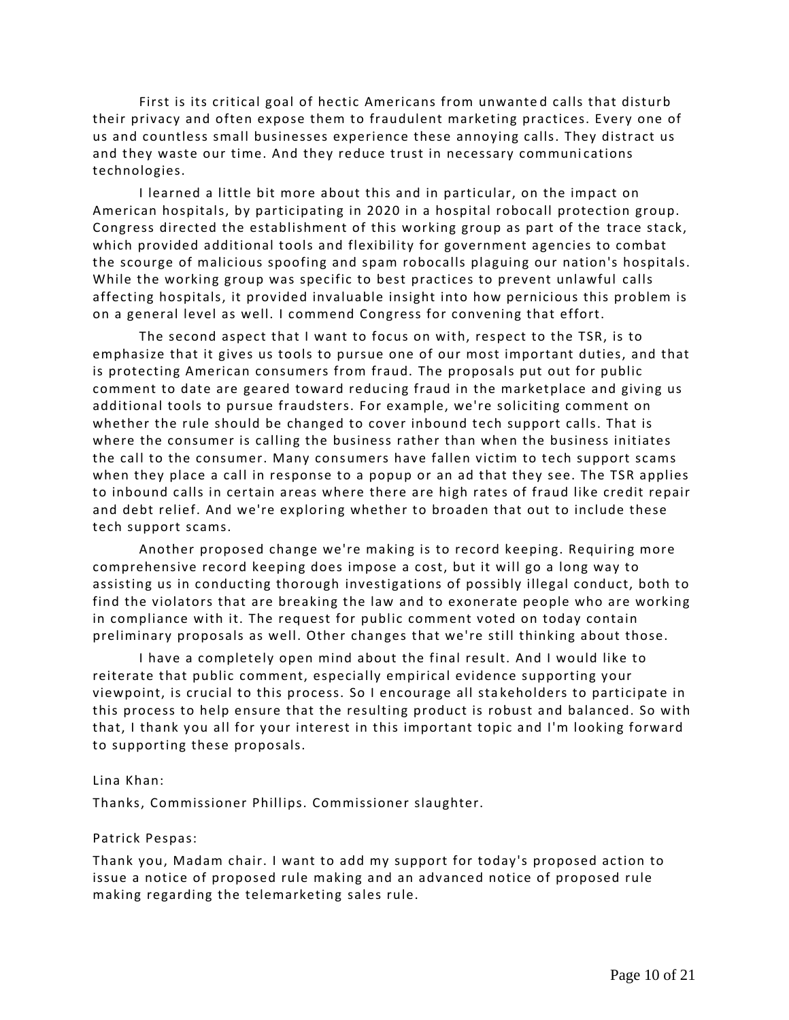First is its critical goal of hectic Americans from unwante d calls that disturb their privacy and often expose them to fraudulent marketing practices. Every one of us and countless small businesses experience these annoying calls. They distract us and they waste our time. And they reduce trust in necessary communications technologies.

I learned a little bit more about this and in particular, on the impact on American hospitals, by participating in 2020 in a hospital robocall protection group. Congress directed the establishment of this working group as part of the trace stack, which provided additional tools and flexibility for government agencies to combat the scourge of malicious spoofing and spam robocalls plaguing our nation's hospitals. While the working group was specific to best practices to prevent unlawful calls affecting hospitals, it provided invaluable insight into how pernicious this problem is on a general level as well. I commend Congress for convening that effort.

The second aspect that I want to focus on with, respect to the TSR, is to emphasize that it gives us tools to pursue one of our most important duties, and that is protecting American consumers from fraud. The proposals put out for public comment to date are geared toward reducing fraud in the marketplace and giving us additional tools to pursue fraudsters. For example, we're soliciting comment on whether the rule should be changed to cover inbound tech support calls. That is where the consumer is calling the business rather than when the business initiates the call to the consumer. Many consumers have fallen victim to tech support scams when they place a call in response to a popup or an ad that they see. The TSR applies to inbound calls in certain areas where there are high rates of fraud like credit repair and debt relief. And we're exploring whether to broaden that out to include these tech support scams.

Another proposed change we're making is to record keeping. Requiring more comprehensive record keeping does impose a cost, but it will go a long way to assisting us in conducting thorough investigations of possibly illegal conduct, both to find the violators that are breaking the law and to exonerate people who are working in compliance with it. The request for public comment voted on today contain preliminary proposals as well. Other changes that we're still thinking about those.

I have a completely open mind about the final result. And I would like to reiterate that public comment, especially empirical evidence supporting your viewpoint, is crucial to this process. So I encourage all sta keholders to participate in this process to help ensure that the resulting product is robust and balanced. So with that, I thank you all for your interest in this important topic and I'm looking forward to supporting these proposals.

### Lina Khan:

Thanks, Commissioner Phillips. Commissioner slaughter.

### Patrick Pespas:

Thank you, Madam chair. I want to add my support for today's proposed action to issue a notice of proposed rule making and an advanced notice of proposed rule making regarding the telemarketing sales rule.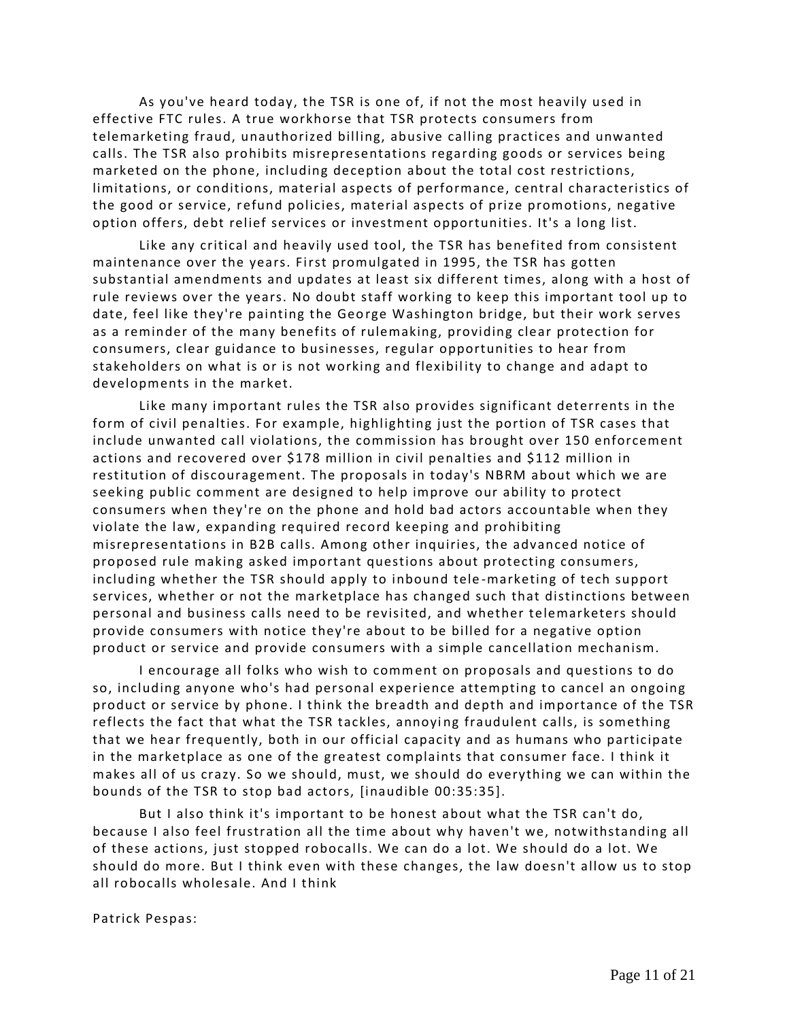As you've heard today, the TSR is one of, if not the most heavily used in effective FTC rules. A true workhorse that TSR protects consumers from telemarketing fraud, unauthorized billing, abusive calling practices and unwanted calls. The TSR also prohibits misrepresentations regarding goods or services being marketed on the phone, including deception about the total cost restrictions, limitations, or conditions, material aspects of performance, central characteristics of the good or service, refund policies, material aspects of prize promotions, negative option offers, debt relief services or investment opportunities. It's a long list.

Like any critical and heavily used tool, the TSR has benefited from consistent maintenance over the years. First promulgated in 1995, the TSR has gotten substantial amendments and updates at least six different times, along with a host of rule reviews over the years. No doubt staff working to keep this important tool up to date, feel like they're painting the George Washington bridge, but their work serves as a reminder of the many benefits of rulemaking, providing clear protection for consumers, clear guidance to businesses, regular opportunities to hear from stakeholders on what is or is not working and flexibil ity to change and adapt to developments in the market.

Like many important rules the TSR also provides significant deterrents in the form of civil penalties. For example, highlighting just the portion of TSR cases that include unwanted call violations, the commission has brought over 150 enforcement actions and recovered over \$178 million in civil penalties and \$112 million in restitution of discouragement. The proposals in today's NBRM about which we are seeking public comment are designed to help improve our ability to protect consumers when they're on the phone and hold bad actors accountable when they violate the law, expanding required record keeping and prohibiting misrepresentations in B2B calls. Among other inquiries, the advanced notice of proposed rule making asked important questions about protecting consumers, including whether the TSR should apply to inbound tele -marketing of tech support services, whether or not the marketplace has changed such that distinctions between personal and business calls need to be revisited, and whether telemarketers should provide consumers with notice they're about to be billed for a negative option product or service and provide consumers with a simple cancellation mechanism.

I encourage all folks who wish to comment on proposals and questions to do so, including anyone who's had personal experience attempting to cancel an ongoing product or service by phone. I think the breadth and depth and importance of the TSR reflects the fact that what the TSR tackles, annoying fraudulent calls, is something that we hear frequently, both in our official capacity and as humans who participate in the marketplace as one of the greatest complaints that consumer face. I think it makes all of us crazy. So we should, must, we should do everything we can within the bounds of the TSR to stop bad actors, [inaudible 00:35:35].

But I also think it's important to be honest about what the TSR can't do, because I also feel frustration all the time about why haven't we, notwithstanding all of these actions, just stopped robocalls. We can do a lot. We should do a lot. We should do more. But I think even with these changes, the law doesn't allow us to stop all robocalls wholesale. And I think

Patrick Pespas: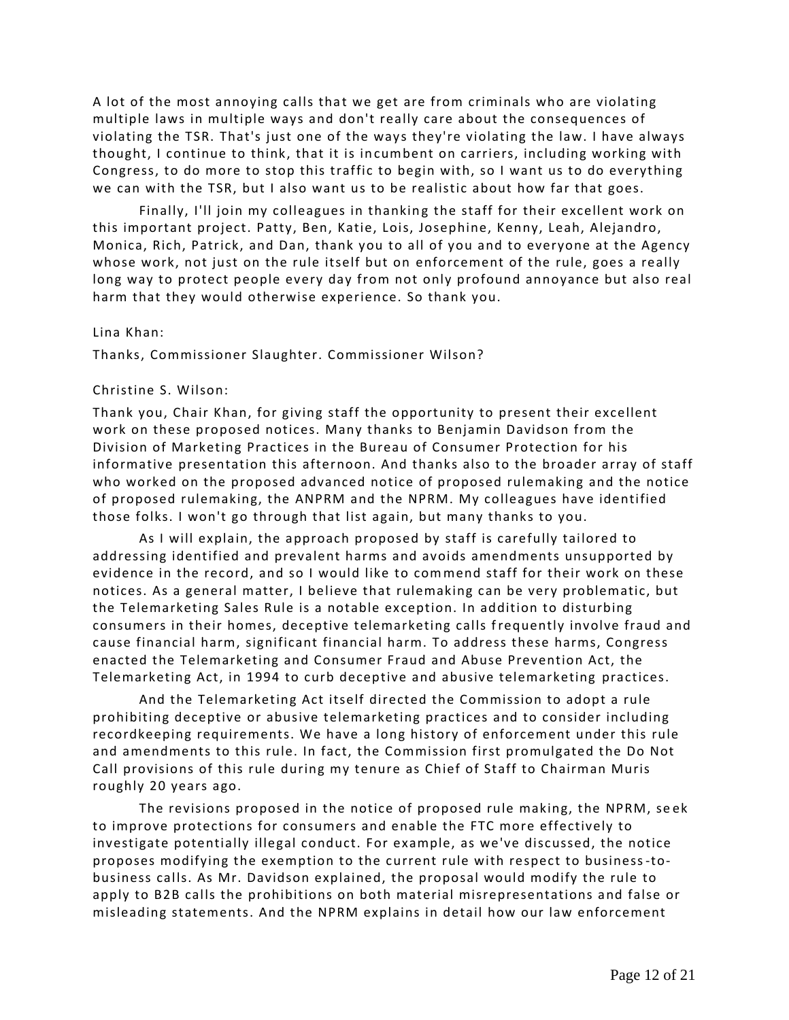A lot of the most annoying calls that we get are from criminals who are violating multiple laws in multiple ways and don't really care about the consequences of violating the TSR. That's just one of the ways they're violating the law. I have always thought, I continue to think, that it is incumbent on carriers, including working with Congress, to do more to stop this traffic to begin with, so I want us to do everything we can with the TSR, but I also want us to be realistic about how far that goes.

Finally, I'll join my colleagues in thanking the staff for their excellent work on this important project. Patty, Ben, Katie, Lois, Josephine, Kenny, Leah, Alejandro, Monica, Rich, Patrick, and Dan, thank you to all of you and to everyone at the Agency whose work, not just on the rule itself but on enforcement of the rule, goes a really long way to protect people every day from not only profound annoyance but also real harm that they would otherwise experience. So thank you.

## Lina Khan:

Thanks, Commissioner Slaughter. Commissioner Wilson?

# Christine S. Wilson:

Thank you, Chair Khan, for giving staff the opportunity to present their excellent work on these proposed notices. Many thanks to Benjamin Davidson from the Division of Marketing Practices in the Bureau of Consumer Protection for his informative presentation this afternoon. And thanks also to the broader array of staff who worked on the proposed advanced notice of proposed rulemaking and the notice of proposed rulemaking, the ANPRM and the NPRM. My colleagues have identified those folks. I won't go through that list again, but many thanks to you.

As I will explain, the approach proposed by staff is carefully tailored to addressing identified and prevalent harms and avoids amendments unsupported by evidence in the record, and so I would like to commend staff for their work on these notices. As a general matter, I believe that rulemaking can be very problematic, but the Telemarketing Sales Rule is a notable exception. In addition to disturbing consumers in their homes, deceptive telemarketing calls frequently involve fraud and cause financial harm, significant financial harm. To address these harms, Congress enacted the Telemarketing and Consumer Fraud and Abuse Prevention Act, the Telemarketing Act, in 1994 to curb deceptive and abusive telemarketing practices.

And the Telemarketing Act itself directed the Commission to adopt a rule prohibiting deceptive or abusive telemarketing practices and to consider including recordkeeping requirements. We have a long history of enforcement under this rule and amendments to this rule. In fact, the Commission first promulgated the Do Not Call provisions of this rule during my tenure as Chief of Staff to Chairman Muris roughly 20 years ago.

The revisions proposed in the notice of proposed rule making, the NPRM, se ek to improve protections for consumers and enable the FTC more effectively to investigate potentially illegal conduct. For example, as we've discussed, the notice proposes modifying the exemption to the current rule with respect to business-tobusiness calls. As Mr. Davidson explained, the proposal would modify the rule to apply to B2B calls the prohibitions on both material misrepresentations and false or misleading statements. And the NPRM explains in detail how our law enforcement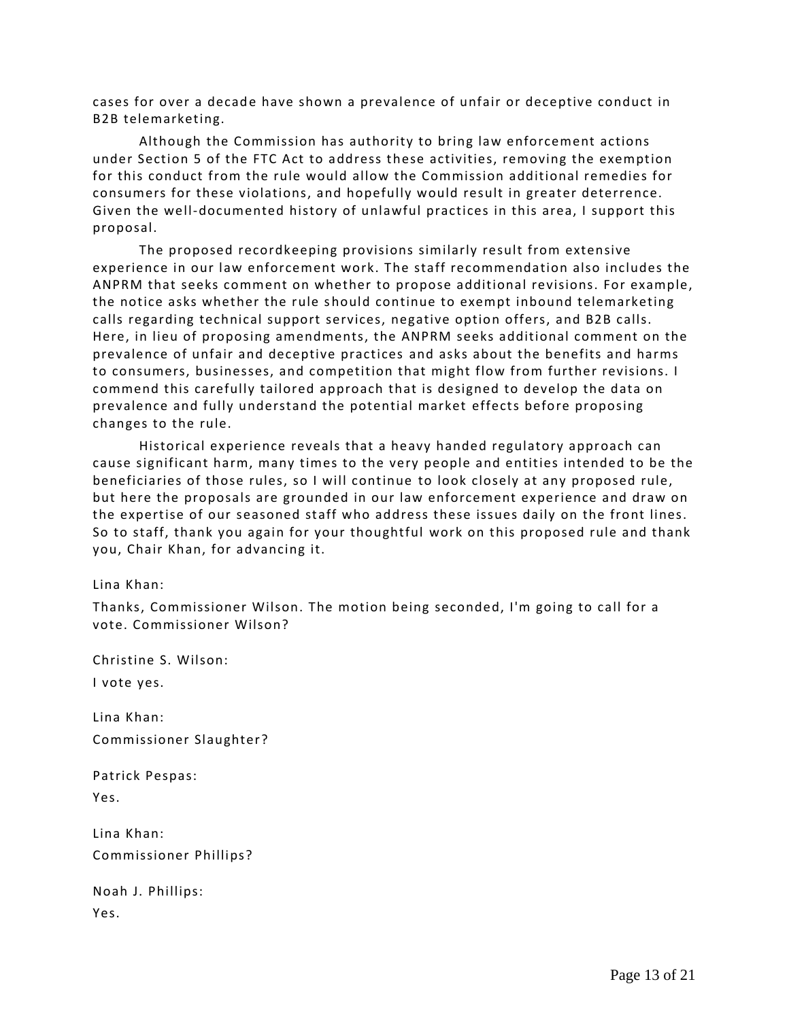cases for over a decade have shown a prevalence of unfair or deceptive conduct in B2B telemarketing.

Although the Commission has authority to bring law enforcement actions under Section 5 of the FTC Act to address these activities, removing the exemption for this conduct from the rule would allow the Commission additional remedies for consumers for these violations, and hopefully would result in greater deterrence. Given the well-documented history of unlawful practices in this area, I support this proposal.

The proposed recordkeeping provisions similarly result from extensive experience in our law enforcement work. The staff recommendation also includes the ANPRM that seeks comment on whether to propose additional revisions. For example, the notice asks whether the rule should continue to exempt inbound telemarketing calls regarding technical support services, negative option offers, and B2B calls. Here, in lieu of proposing amendments, the ANPRM seeks additional comment on the prevalence of unfair and deceptive practices and asks about the benefits and harms to consumers, businesses, and competition that might flow from further revisions. I commend this carefully tailored approach that is designed to develop the data on prevalence and fully understand the potential market effects before proposing changes to the rule.

Historical experience reveals that a heavy handed regulatory approach can cause significant harm, many times to the very people and entities intended to be the beneficiaries of those rules, so I will continue to look closely at any proposed rule, but here the proposals are grounded in our law enforcement experience and draw on the expertise of our seasoned staff who address these issues daily on the front lines. So to staff, thank you again for your thoughtful work on this proposed rule and thank you, Chair Khan, for advancing it.

Lina Khan:

Thanks, Commissioner Wilson. The motion being seconded, I'm going to call for a vote. Commissioner Wilson?

Christine S. Wilson: I vote yes.

Lina Khan: Commissioner Slaughter?

Patrick Pespas:

Yes.

Lina Khan: Commissioner Phillips?

|      | Noah J. Phillips: |
|------|-------------------|
| Yes. |                   |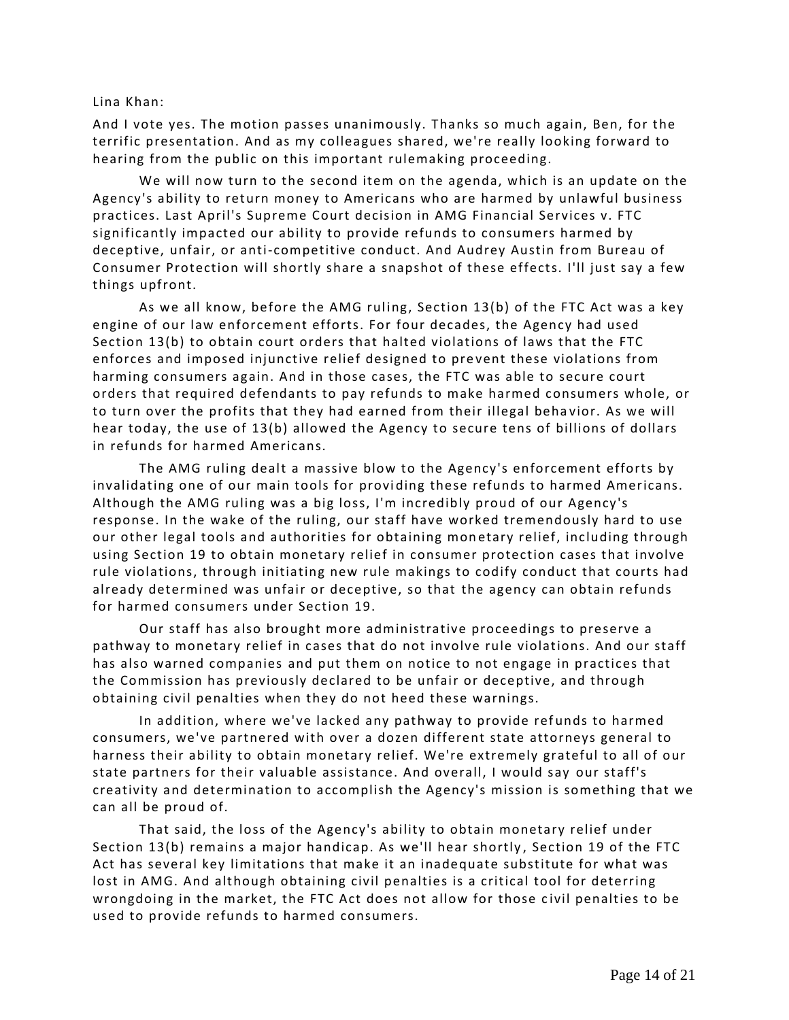## Lina Khan:

And I vote yes. The motion passes unanimously. Thanks so much again, Ben, for the terrific presentation. And as my colleagues shared, we're really looking forward to hearing from the public on this important rulemaking proceeding.

We will now turn to the second item on the agenda, which is an update on the Agency's ability to return money to Americans who are harmed by unlawful business practices. Last April's Supreme Court decision in AMG Financial Services v. FTC significantly impacted our ability to provide refunds to consumers harmed by deceptive, unfair, or anti-competitive conduct. And Audrey Austin from Bureau of Consumer Protection will shortly share a snapshot of these effects. I'll just say a few things upfront.

As we all know, before the AMG ruling, Section 13(b) of the FTC Act was a key engine of our law enforcement efforts. For four decades, the Agency had used Section 13(b) to obtain court orders that halted violations of laws that the FTC enforces and imposed injunctive relief designed to pre vent these violations from harming consumers again. And in those cases, the FTC was able to secure court orders that required defendants to pay refunds to make harmed consumers whole, or to turn over the profits that they had earned from their illegal behavior. As we will hear today, the use of 13(b) allowed the Agency to secure tens of billions of dollars in refunds for harmed Americans.

The AMG ruling dealt a massive blow to the Agency's enforcement efforts by invalidating one of our main tools for providing these refunds to harmed Americans. Although the AMG ruling was a big loss, I'm incredibly proud of our Agency's response. In the wake of the ruling, our staff have worked tremendously hard to use our other legal tools and authorities for obtaining monetary relief, including through using Section 19 to obtain monetary relief in consumer protection cases that involve rule violations, through initiating new rule makings to codify conduct that courts had already determined was unfair or deceptive, so that the agency can obtain refunds for harmed consumers under Section 19.

Our staff has also brought more administrative proceedings to preserve a pathway to monetary relief in cases that do not involve rule violations. And our staff has also warned companies and put them on notice to not engage in practices that the Commission has previously declared to be unfair or deceptive, and through obtaining civil penalties when they do not heed these warnings.

In addition, where we've lacked any pathway to provide ref unds to harmed consumers, we've partnered with over a dozen different state attorneys general to harness their ability to obtain monetary relief. We're extremely grateful to all of our state partners for their valuable assistance. And overall, I would say our staff's creativity and determination to accomplish the Agency's mission is something that we can all be proud of.

That said, the loss of the Agency's ability to obtain monetary relief under Section 13(b) remains a major handicap. As we'll hear shortly , Section 19 of the FTC Act has several key limitations that make it an inadequate substitute for what was lost in AMG. And although obtaining civil penalties is a critical tool for deterring wrongdoing in the market, the FTC Act does not allow for those civil penalties to be used to provide refunds to harmed consumers.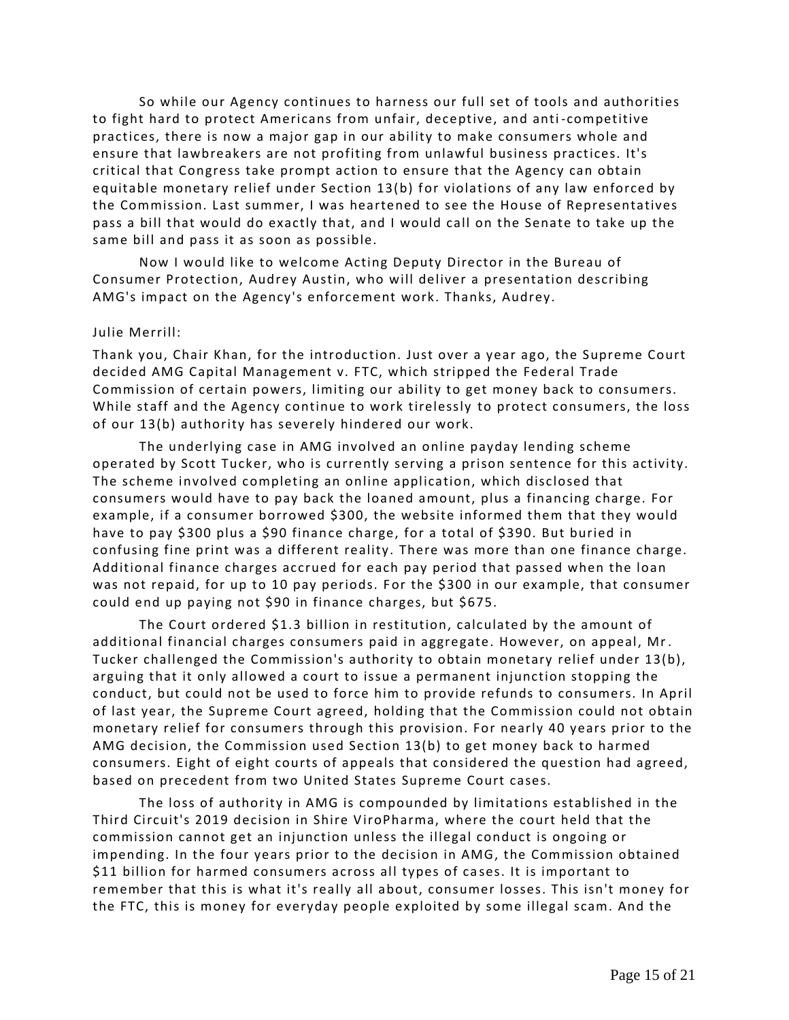So while our Agency continues to harness our full set of tools and authorities to fight hard to protect Americans from unfair, deceptive, and anti -competitive practices, there is now a major gap in our ability to make consumers whole and ensure that lawbreakers are not profiting from unlawful business practices. It's critical that Congress take prompt action to ensure that the Agency can obtain equitable monetary relief under Section 13(b) for violations of any law enforced by the Commission. Last summer, I was heartened to see the House of Representatives pass a bill that would do exactly that, and I would call on the Senate to take up the same bill and pass it as soon as possible.

Now I would like to welcome Acting Deputy Director in the Bureau of Consumer Protection, Audrey Austin, who will deliver a presentation describing AMG's impact on the Agency's enforcement work. Thanks, Audrey.

### Julie Merrill:

Thank you, Chair Khan, for the introduction. Just over a year ago, the Supreme Court decided AMG Capital Management v. FTC, which stripped the Federal Trade Commission of certain powers, limiting our ability to get money back to consumers. While staff and the Agency continue to work tirelessly to protect consumers, the loss of our 13(b) authority has severely hindered our work.

The underlying case in AMG involved an online payday lending scheme operated by Scott Tucker, who is currently serving a prison sentence for this activity. The scheme involved completing an online application, which disclosed that consumers would have to pay back the loaned amount, plus a financing charge. For example, if a consumer borrowed \$300, the website informed them that they would have to pay \$300 plus a \$90 finance charge, for a total of \$390. But buried in confusing fine print was a different reality. There was more than one finance charge. Additional finance charges accrued for each pay period that passed when the loan was not repaid, for up to 10 pay periods. For the \$300 in our example, that consumer could end up paying not \$90 in finance charges, but \$675.

The Court ordered \$1.3 billion in restitution, calculated by the amount of additional financial charges consumers paid in aggregate. However, on appeal, Mr. Tucker challenged the Commission's authority to obtain monetary relief under 13(b), arguing that it only allowed a court to issue a permanent injunction stopping the conduct, but could not be used to force him to provide refunds to consumers. In April of last year, the Supreme Court agreed, holding that the Commission could not obtain monetary relief for consumers through this provision. For nearly 40 years prior to the AMG decision, the Commission used Section 13(b) to get money back to harmed consumers. Eight of eight courts of appeals that considered the question had agreed, based on precedent from two United States Supreme Court cases.

The loss of authority in AMG is compounded by limitations established in the Third Circuit's 2019 decision in Shire ViroPharma, where the court held that the commission cannot get an injunction unless the illegal conduct is ongoing or impending. In the four years prior to the decision in AMG, the Commission obtained \$11 billion for harmed consumers across all types of cases. It is important to remember that this is what it's really all about, consumer losses. This isn't money for the FTC, this is money for everyday people exploited by some illegal scam. And the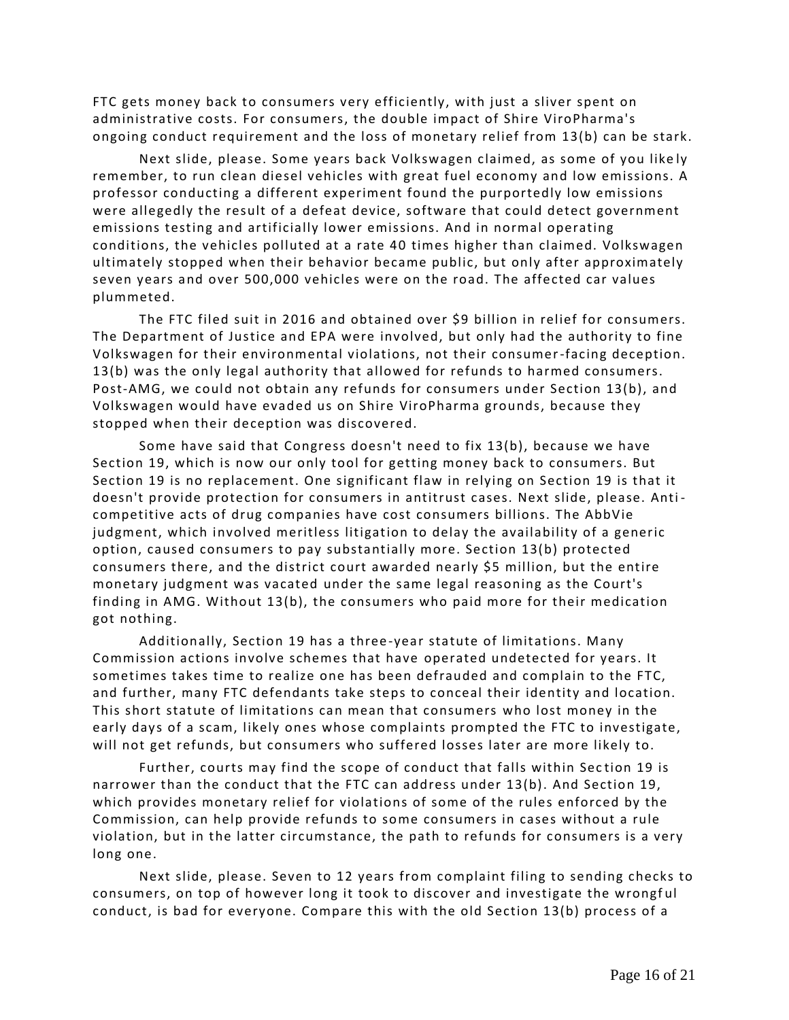FTC gets money back to consumers very efficiently, with just a sliver spent on administrative costs. For consumers, the double impact of Shire ViroPharma's ongoing conduct requirement and the loss of monetary relief from 13(b) can be stark.

Next slide, please. Some years back Volkswagen claimed, as some of you like ly remember, to run clean diesel vehicles with great fuel economy and low emissions. A professor conducting a different experiment found the purportedly low emissions were allegedly the result of a defeat device, software that could detect government emissions testing and artificially lower emissions. And in normal operating conditions, the vehicles polluted at a rate 40 times higher than claimed. Volkswagen ultimately stopped when their behavior became public, but only after approximately seven years and over 500,000 vehicles were on the road. The affected car values plummeted.

The FTC filed suit in 2016 and obtained over \$9 billion in relief for consumers. The Department of Justice and EPA were involved, but only had the authority to fine Volkswagen for their environmental violations, not their consumer-facing deception. 13(b) was the only legal authority that allowed for refunds to harmed consumers. Post-AMG, we could not obtain any refunds for consumers under Section 13(b), and Volkswagen would have evaded us on Shire ViroPharma grounds, because they stopped when their deception was discovered.

Some have said that Congress doesn't need to fix 13(b), because we have Section 19, which is now our only tool for getting money back to consumers. But Section 19 is no replacement. One significant flaw in relying on Section 19 is that it doesn't provide protection for consumers in antitrust cases. Next slide, please. Anti competitive acts of drug companies have cost consumers billions. The AbbVie judgment, which involved meritless litigation to delay the availability of a generic option, caused consumers to pay substantially more. Section 13(b) protected consumers there, and the district court awarded nearly \$5 million, but the entire monetary judgment was vacated under the same legal reasoning as the Court's finding in AMG. Without 13(b), the consumers who paid more for their medication got nothing.

Additionally, Section 19 has a three -year statute of limitations. Many Commission actions involve schemes that have operated undetected for years. It sometimes takes time to realize one has been defrauded and complain to the FTC, and further, many FTC defendants take steps to conceal their identity and location. This short statute of limitations can mean that consumers who lost money in the early days of a scam, likely ones whose complaints prompted the FTC to investigate, will not get refunds, but consumers who suffered losses later are more likely to.

Further, courts may find the scope of conduct that falls within Sec tion 19 is narrower than the conduct that the FTC can address under 13(b). And Section 19, which provides monetary relief for violations of some of the rules enforced by the Commission, can help provide refunds to some consumers in cases without a rule violation, but in the latter circumstance, the path to refunds for consumers is a very long one.

Next slide, please. Seven to 12 years from complaint filing to sending checks to consumers, on top of however long it took to discover and investigate the wrongf ul conduct, is bad for everyone. Compare this with the old Section 13(b) process of a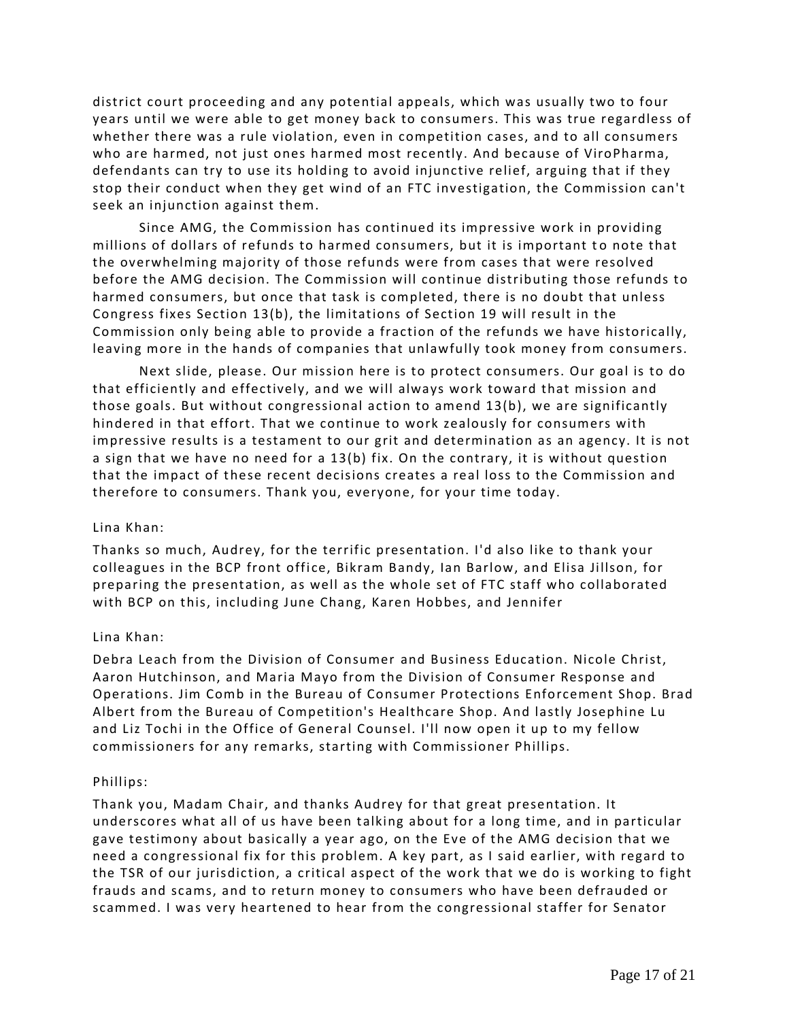district court proceeding and any potential appeals, which was usually two to four years until we were able to get money back to consumers. This was true regardless of whether there was a rule violation, even in competition cases, and to all consumers who are harmed, not just ones harmed most recently. And because of ViroPharma, defendants can try to use its holding to avoid injunctive relief, arguing that if they stop their conduct when they get wind of an FTC investigation, the Commission can't seek an injunction against them.

Since AMG, the Commission has continued its impressive work in providing millions of dollars of refunds to harmed consumers, but it is important to note that the overwhelming majority of those refunds were from cases that were resolved before the AMG decision. The Commission will continue distributing those refunds to harmed consumers, but once that task is completed, there is no doubt that unless Congress fixes Section 13(b), the limitations of Section 19 will result in the Commission only being able to provide a fraction of the refunds we have historically, leaving more in the hands of companies that unlawfully took money from consumers.

Next slide, please. Our mission here is to protect consumers. Our goal is to do that efficiently and effectively, and we will always work toward that mission and those goals. But without congressional action to amend 13(b), we are significantly hindered in that effort. That we continue to work zealously for consumers with impressive results is a testament to our grit and determination as an agency. It is not a sign that we have no need for a 13(b) fix. On the contrary, it is without question that the impact of these recent decisions creates a real loss to the Commission and therefore to consumers. Thank you, everyone, for your time today.

# Lina Khan:

Thanks so much, Audrey, for the terrific presentation. I'd also like to thank your colleagues in the BCP front office, Bikram Bandy, Ian Barlow, and Elisa Jillson, for preparing the presentation, as well as the whole set of FTC staff who collaborated with BCP on this, including June Chang, Karen Hobbes, and Jennifer

# Lina Khan:

Debra Leach from the Division of Consumer and Business Education. Nicole Christ, Aaron Hutchinson, and Maria Mayo from the Division of Consumer Response and Operations. Jim Comb in the Bureau of Consumer Protections Enforcement Shop. Brad Albert from the Bureau of Competition's Healthcare Shop. And lastly Josephine Lu and Liz Tochi in the Office of General Counsel. I'll now open it up to my fellow commissioners for any remarks, starting with Commissioner Phillips.

### Phillips:

Thank you, Madam Chair, and thanks Audrey for that great presentation. It underscores what all of us have been talking about for a long time, and in particular gave testimony about basically a year ago, on the Eve of the AMG decision that we need a congressional fix for this problem. A key part, as I said earlier, with regard to the TSR of our jurisdiction, a critical aspect of the work that we do is working to fight frauds and scams, and to return money to consumers who have been defrauded or scammed. I was very heartened to hear from the congressional staffer for Senator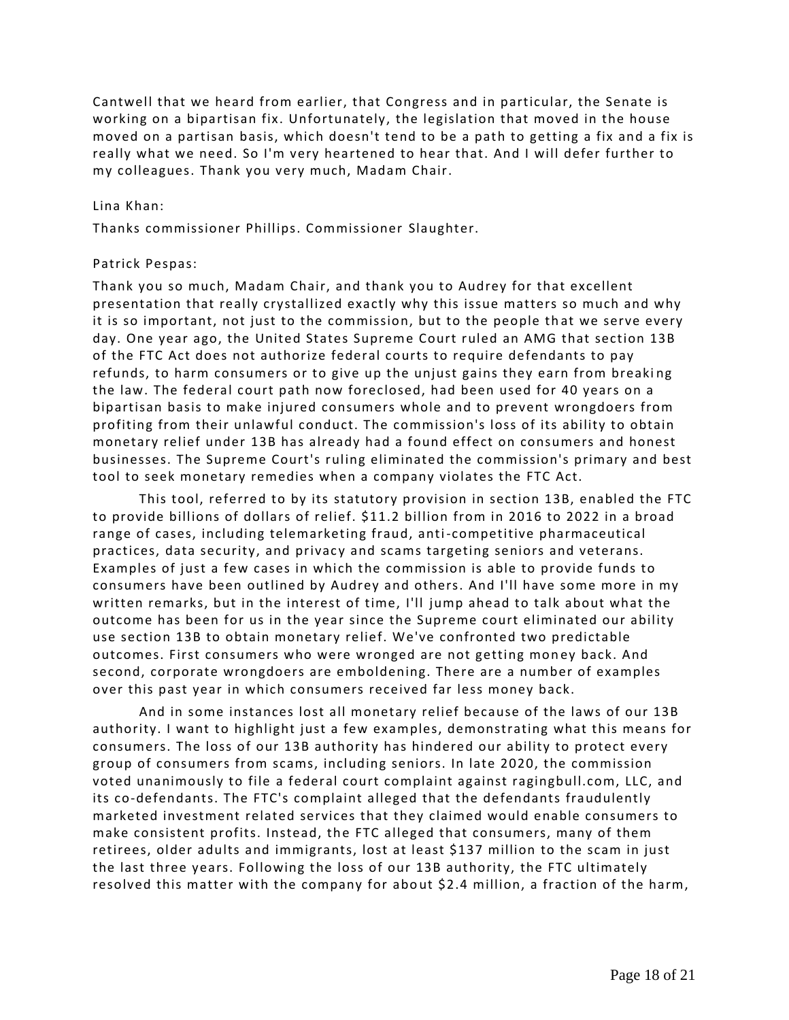Cantwell that we heard from earlier, that Congress and in particular, the Senate is working on a bipartisan fix. Unfortunately, the legislation that moved in the house moved on a partisan basis, which doesn't tend to be a path to getting a fix and a fix is really what we need. So I'm very heartened to hear that. And I will defer further to my colleagues. Thank you very much, Madam Chair.

## Lina Khan:

Thanks commissioner Phillips. Commissioner Slaughter.

## Patrick Pespas:

Thank you so much, Madam Chair, and thank you to Audrey for that excellent presentation that really crystallized exactly why this issue matters so much and why it is so important, not just to the commission, but to the people th at we serve every day. One year ago, the United States Supreme Court ruled an AMG that section 13B of the FTC Act does not authorize federal courts to require defendants to pay refunds, to harm consumers or to give up the unjust gains they earn from breaki ng the law. The federal court path now foreclosed, had been used for 40 years on a bipartisan basis to make injured consumers whole and to prevent wrongdoers from profiting from their unlawful conduct. The commission's loss of its ability to obtain monetary relief under 13B has already had a found effect on consumers and honest businesses. The Supreme Court's ruling eliminated the commission's primary and best tool to seek monetary remedies when a company violates the FTC Act.

This tool, referred to by its statutory provision in section 13B, enabled the FTC to provide billions of dollars of relief. \$11.2 billion from in 2016 to 2022 in a broad range of cases, including telemarketing fraud, anti-competitive pharmaceutical practices, data security, and privacy and scams targeting seniors and veterans. Examples of just a few cases in which the commission is able to provide funds to consumers have been outlined by Audrey and others. And I'll have some more in my written remarks, but in the interest of time, I'll jump ahead to talk about what the outcome has been for us in the year since the Supreme court eliminated our ability use section 13B to obtain monetary relief. We've confronted two predictable outcomes. First consumers who were wronged are not getting money back. And second, corporate wrongdoers are emboldening. There are a number of examples over this past year in which consumers received far less money back.

And in some instances lost all monetary relief because of the laws of our 13B authority. I want to highlight just a few examples, demonstrating what this means for consumers. The loss of our 13B authority has hindered our ability to protect every group of consumers from scams, including seniors. In late 2020, the commission voted unanimously to file a federal court complaint against ragingbull.com, LLC, and its co-defendants. The FTC's complaint alleged that the defendants fraudulently marketed investment related services that they claimed would enable consumers to make consistent profits. Instead, the FTC alleged that consumers, many of them retirees, older adults and immigrants, lost at least \$137 million to the scam in just the last three years. Following the loss of our 13B authority, the FTC ultimately resolved this matter with the company for about \$2.4 million, a fraction of the harm,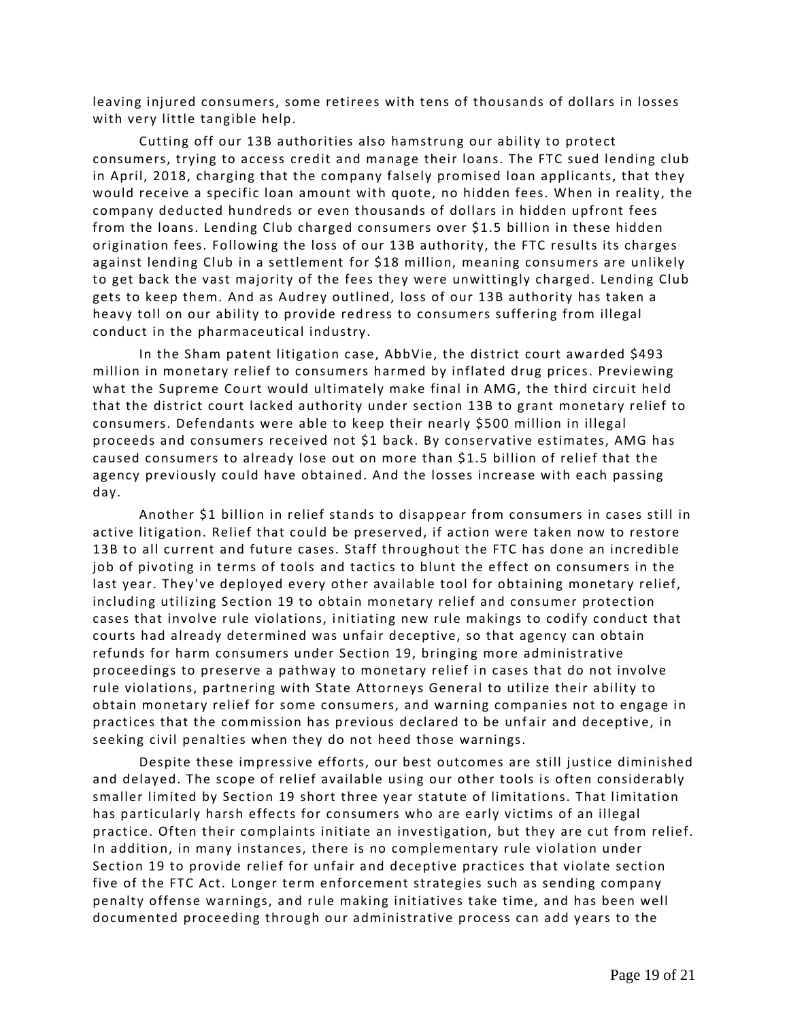leaving injured consumers, some retirees with tens of thousands of dollars in losses with very little tangible help.

Cutting off our 13B authorities also hamstrung our ability to protect consumers, trying to access credit and manage their loans. The FTC sued lending club in April, 2018, charging that the company falsely promised loan applicants, that they would receive a specific loan amount with quote, no hidden fees. When in reality, the company deducted hundreds or even thousands of dollars in hidden upfront fees from the loans. Lending Club charged consumers over \$1.5 billion in these hidden origination fees. Following the loss of our 13B authority, the FTC results its charges against lending Club in a settlement for \$18 million, meaning consumers are unlikely to get back the vast majority of the fees they were unwittingly charged. Lending Club gets to keep them. And as Audrey outlined, loss of our 13B authority has taken a heavy toll on our ability to provide redress to consumers suffering from illegal conduct in the pharmaceutical industry.

In the Sham patent litigation case, AbbVie, the district court awarded \$493 million in monetary relief to consumers harmed by inflated drug prices. Previewing what the Supreme Court would ultimately make final in AMG, the third circuit held that the district court lacked authority under section 13B to grant monetary relief to consumers. Defendants were able to keep their nearly \$500 million in illegal proceeds and consumers received not \$1 back. By conservative estimates, AMG has caused consumers to already lose out on more than \$1.5 billion of relief that the agency previously could have obtained. And the losses increase with each passing day.

Another \$1 billion in relief stands to disappear from consumers in cases still in active litigation. Relief that could be preserved, if action were taken now to restore 13B to all current and future cases. Staff throughout the FTC has done an incredible job of pivoting in terms of tools and tactics to blunt the effect on consumers in the last year. They've deployed every other available tool for obtaining monetary relief, including utilizing Section 19 to obtain monetary relief and consumer protection cases that involve rule violations, initiating new rule makings to codify conduct that courts had already determined was unfair deceptive, so that agency can obtain refunds for harm consumers under Section 19, bringing more administrative proceedings to preserve a pathway to monetary relief in cases that do not involve rule violations, partnering with State Attorneys General to utilize their ability to obtain monetary relief for some consumers, and warning companies not to engage in practices that the commission has previous declared to be unfair and deceptive, in seeking civil penalties when they do not heed those warnings.

Despite these impressive efforts, our best outcomes are still justice diminished and delayed. The scope of relief available using our other tools is often considerably smaller limited by Section 19 short three year statute of limitations. That limitation has particularly harsh effects for consumers who are early victims of an illegal practice. Often their complaints initiate an investigation, but they are cut from relief. In addition, in many instances, there is no complementary rule violation under Section 19 to provide relief for unfair and deceptive practices that violate section five of the FTC Act. Longer term enforcement strategies such as sending company penalty offense warnings, and rule making initiatives take time, and has been well documented proceeding through our administrative process can add years to the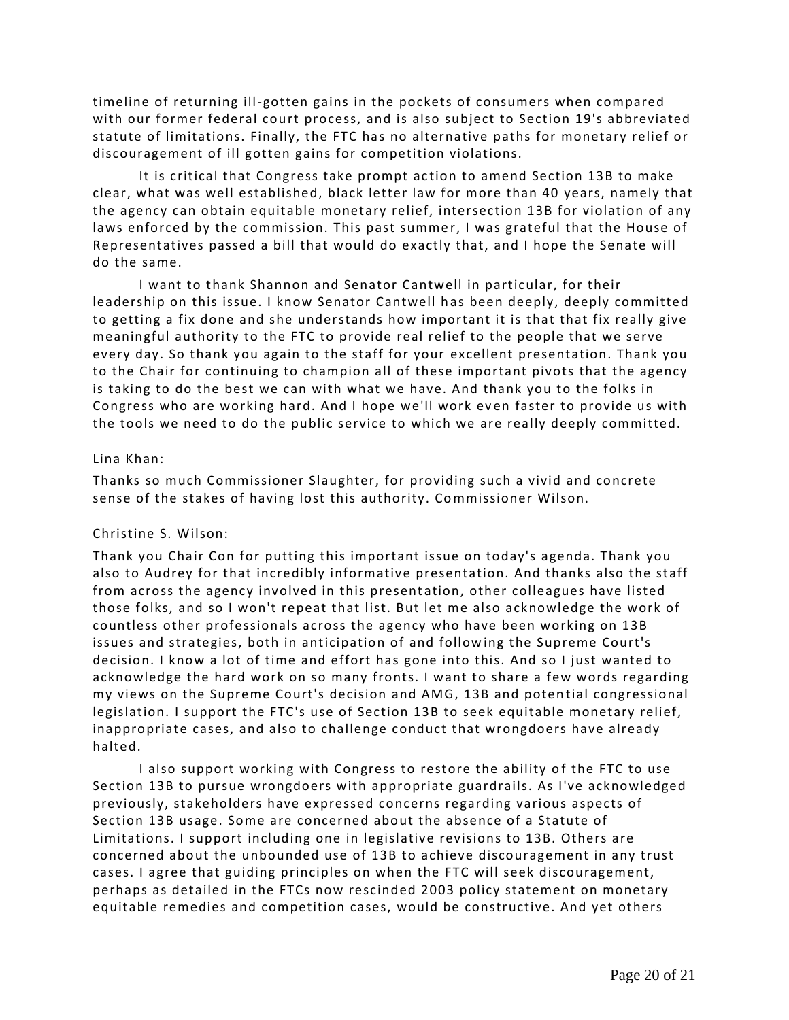timeline of returning ill-gotten gains in the pockets of consumers when compared with our former federal court process, and is also subject to Section 19's abbreviated statute of limitations. Finally, the FTC has no alternative paths for monetary relief or discouragement of ill gotten gains for competition violations.

It is critical that Congress take prompt action to amend Section 13B to make clear, what was well established, black letter law for more than 40 years, namely that the agency can obtain equitable monetary relief, intersection 13B for violation of any laws enforced by the commission. This past summer, I was grateful that the House of Representatives passed a bill that would do exactly that, and I hope the Senate will do the same.

I want to thank Shannon and Senator Cantwell in particular, for their leadership on this issue. I know Senator Cantwell has been deeply, deeply committed to getting a fix done and she understands how important it is that that fix really give meaningful authority to the FTC to provide real relief to the people that we serve every day. So thank you again to the staff for your excellent presentation. Thank you to the Chair for continuing to champion all of these important pivots that the agency is taking to do the best we can with what we have. And thank you to the folks in Congress who are working hard. And I hope we'll work even faster to provide us with the tools we need to do the public service to which we are really deeply committed.

## Lina Khan:

Thanks so much Commissioner Slaughter, for providing such a vivid and concrete sense of the stakes of having lost this authority. Commissioner Wilson.

# Christine S. Wilson:

Thank you Chair Con for putting this important issue on today's agenda. Thank you also to Audrey for that incredibly informative presentation. And thanks also the staff from across the agency involved in this presentation, other colleagues have listed those folks, and so I won't repeat that list. But let me also acknowledge the work of countless other professionals across the agency who have been working on 13B issues and strategies, both in anticipation of and follow ing the Supreme Court's decision. I know a lot of time and effort has gone into this. And so I just wanted to acknowledge the hard work on so many fronts. I want to share a few words regarding my views on the Supreme Court's decision and AMG, 13B and poten tial congressional legislation. I support the FTC's use of Section 13B to seek equitable monetary relief, inappropriate cases, and also to challenge conduct that wrongdoers have already halted.

I also support working with Congress to restore the ability of the FTC to use Section 13B to pursue wrongdoers with appropriate guardrails. As I've acknowledged previously, stakeholders have expressed concerns regarding various aspects of Section 13B usage. Some are concerned about the absence of a Statute of Limitations. I support including one in legislative revisions to 13B. Others are concerned about the unbounded use of 13B to achieve discouragement in any trust cases. I agree that guiding principles on when the FTC will seek discouragement, perhaps as detailed in the FTCs now rescinded 2003 policy statement on monetary equitable remedies and competition cases, would be constructive. And yet others